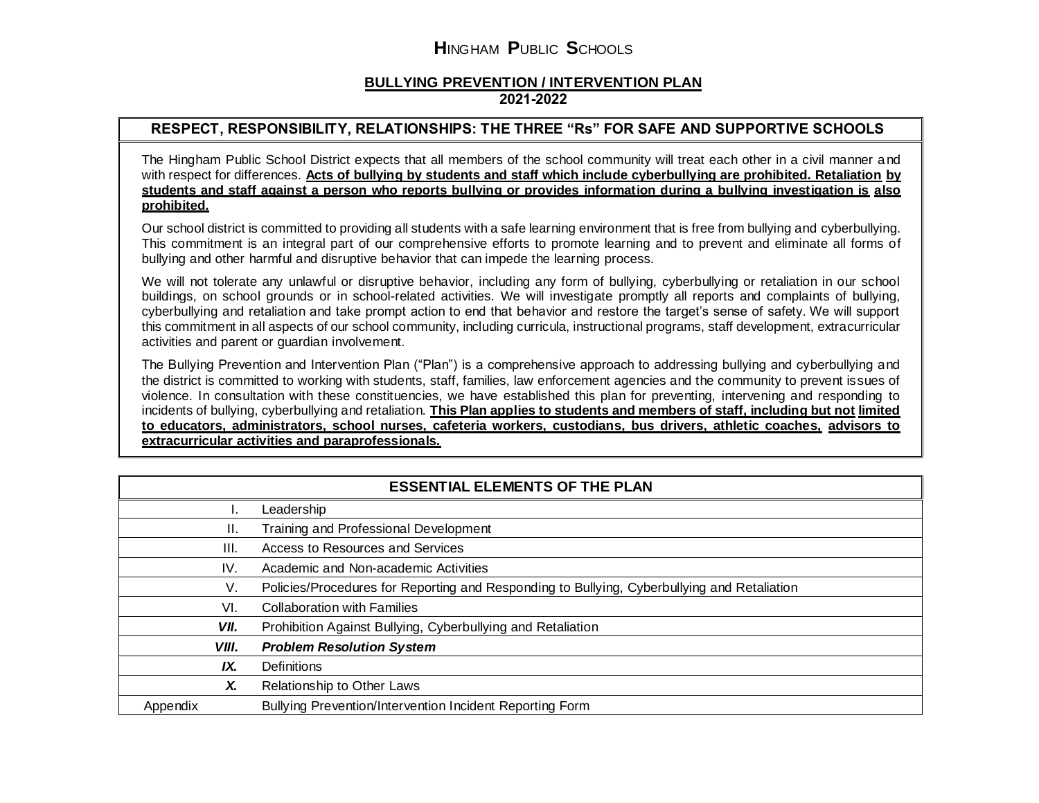## **BULLYING PREVENTION / INTERVENTION PLAN 2021-2022**

## **RESPECT, RESPONSIBILITY, RELATIONSHIPS: THE THREE "Rs" FOR SAFE AND SUPPORTIVE SCHOOLS**

The Hingham Public School District expects that all members of the school community will treat each other in a civil manner and with respect for differences. **Acts of bullying by students and staff which include cyberbullying are prohibited. Retaliation by students and staff against a person who reports bullying or provides information during a bullying investigation is also prohibited.**

Our school district is committed to providing all students with a safe learning environment that is free from bullying and cyberbullying. This commitment is an integral part of our comprehensive efforts to promote learning and to prevent and eliminate all forms of bullying and other harmful and disruptive behavior that can impede the learning process.

We will not tolerate any unlawful or disruptive behavior, including any form of bullying, cyberbullying or retaliation in our school buildings, on school grounds or in school-related activities. We will investigate promptly all reports and complaints of bullying, cyberbullying and retaliation and take prompt action to end that behavior and restore the target's sense of safety. We will support this commitment in all aspects of our school community, including curricula, instructional programs, staff development, extracurricular activities and parent or guardian involvement.

The Bullying Prevention and Intervention Plan ("Plan") is a comprehensive approach to addressing bullying and cyberbullying and the district is committed to working with students, staff, families, law enforcement agencies and the community to prevent issues of violence. In consultation with these constituencies, we have established this plan for preventing, intervening and responding to incidents of bullying, cyberbullying and retaliation. **This Plan applies to students and members of staff, including but not limited to educators, administrators, school nurses, cafeteria workers, custodians, bus drivers, athletic coaches, advisors to extracurricular activities and paraprofessionals.**

| <b>ESSENTIAL ELEMENTS OF THE PLAN</b> |                                                                                             |  |  |
|---------------------------------------|---------------------------------------------------------------------------------------------|--|--|
|                                       | Leadership                                                                                  |  |  |
| Ш.                                    | Training and Professional Development                                                       |  |  |
| III.                                  | Access to Resources and Services                                                            |  |  |
| IV.                                   | Academic and Non-academic Activities                                                        |  |  |
| V.                                    | Policies/Procedures for Reporting and Responding to Bullying, Cyberbullying and Retaliation |  |  |
| VI.                                   | <b>Collaboration with Families</b>                                                          |  |  |
| VII.                                  | Prohibition Against Bullying, Cyberbullying and Retaliation                                 |  |  |
| VIII.                                 | <b>Problem Resolution System</b>                                                            |  |  |
| IX.                                   | Definitions                                                                                 |  |  |
| Х.                                    | Relationship to Other Laws                                                                  |  |  |
| Appendix                              | Bullying Prevention/Intervention Incident Reporting Form                                    |  |  |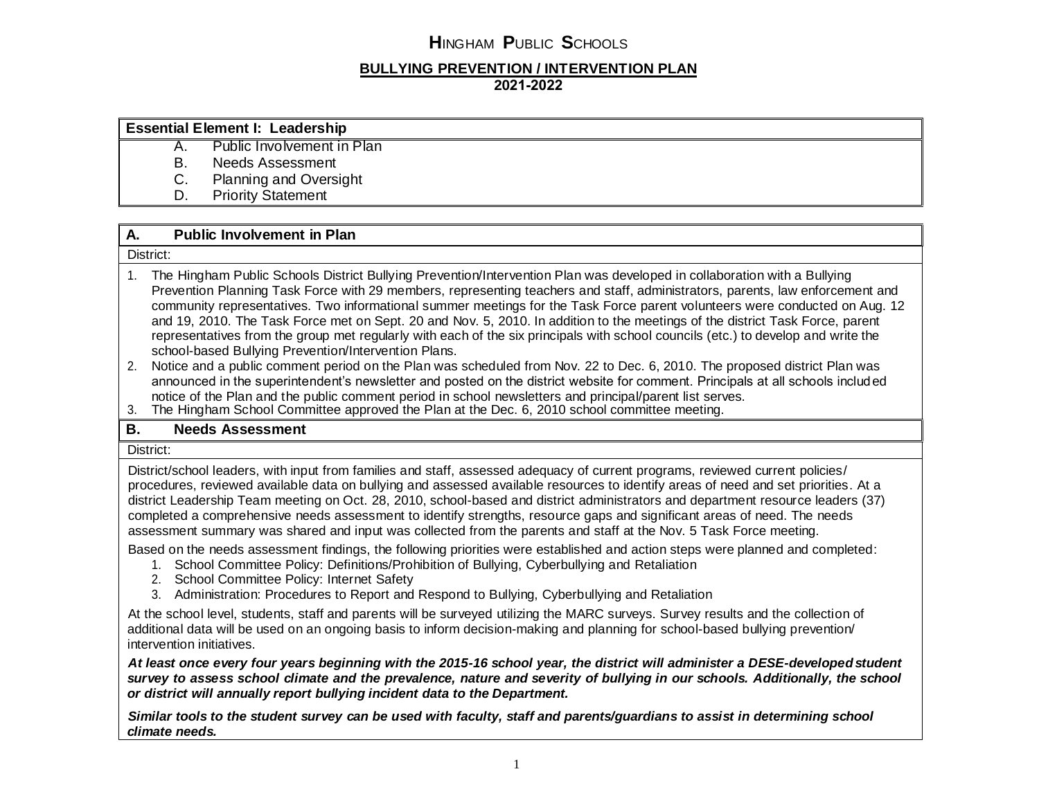## **BULLYING PREVENTION / INTERVENTION PLAN 2021-2022**

| <b>Essential Element I: Leadership</b> |                               |  |
|----------------------------------------|-------------------------------|--|
|                                        | Public Involvement in Plan    |  |
| D                                      | Needs Assessment              |  |
| U.                                     | <b>Planning and Oversight</b> |  |

D. Priority Statement

## **A. Public Involvement in Plan**

#### District:

- 1. The Hingham Public Schools District Bullying Prevention/Intervention Plan was developed in collaboration with a Bullying Prevention Planning Task Force with 29 members, representing teachers and staff, administrators, parents, law enforcement and community representatives. Two informational summer meetings for the Task Force parent volunteers were conducted on Aug. 12 and 19, 2010. The Task Force met on Sept. 20 and Nov. 5, 2010. In addition to the meetings of the district Task Force, parent representatives from the group met regularly with each of the six principals with school councils (etc.) to develop and write the school-based Bullying Prevention/Intervention Plans.
- 2. Notice and a public comment period on the Plan was scheduled from Nov. 22 to Dec. 6, 2010. The proposed district Plan was announced in the superintendent's newsletter and posted on the district website for comment. Principals at all schools included notice of the Plan and the public comment period in school newsletters and principal/parent list serves.
- 3. The Hingham School Committee approved the Plan at the Dec. 6, 2010 school committee meeting.

### **B. Needs Assessment**

#### District:

District/school leaders, with input from families and staff, assessed adequacy of current programs, reviewed current policies/ procedures, reviewed available data on bullying and assessed available resources to identify areas of need and set priorities. At a district Leadership Team meeting on Oct. 28, 2010, school-based and district administrators and department resource leaders (37) completed a comprehensive needs assessment to identify strengths, resource gaps and significant areas of need. The needs assessment summary was shared and input was collected from the parents and staff at the Nov. 5 Task Force meeting.

Based on the needs assessment findings, the following priorities were established and action steps were planned and completed:

- 1. School Committee Policy: Definitions/Prohibition of Bullying, Cyberbullying and Retaliation
- 2. School Committee Policy: Internet Safety
- 3. Administration: Procedures to Report and Respond to Bullying, Cyberbullying and Retaliation

At the school level, students, staff and parents will be surveyed utilizing the MARC surveys. Survey results and the collection of additional data will be used on an ongoing basis to inform decision-making and planning for school-based bullying prevention/ intervention initiatives.

At least once every four years beginning with the 2015-16 school year, the district will administer a DESE-developed student *survey to assess school climate and the prevalence, nature and severity of bullying in our schools. Additionally, the school or district will annually report bullying incident data to the Department.*

*Similar tools to the student survey can be used with faculty, staff and parents/guardians to assist in determining school climate needs.*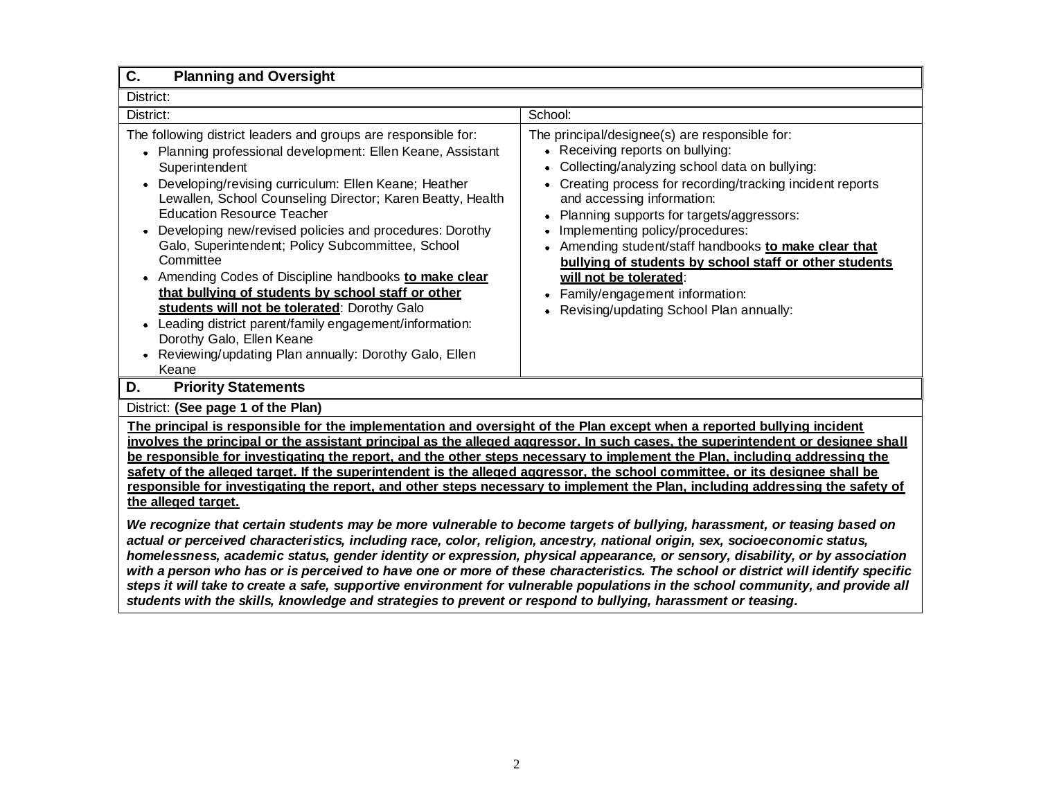| C.<br><b>Planning and Oversight</b>                                                                                                                                                                                                                                                                                                                                                                                                                                                                                                                                                                                                                                                                                                                                                                                                                                                                                                                                                                                                                                                                                                                                                                                                                                                                                                 |         |  |  |  |
|-------------------------------------------------------------------------------------------------------------------------------------------------------------------------------------------------------------------------------------------------------------------------------------------------------------------------------------------------------------------------------------------------------------------------------------------------------------------------------------------------------------------------------------------------------------------------------------------------------------------------------------------------------------------------------------------------------------------------------------------------------------------------------------------------------------------------------------------------------------------------------------------------------------------------------------------------------------------------------------------------------------------------------------------------------------------------------------------------------------------------------------------------------------------------------------------------------------------------------------------------------------------------------------------------------------------------------------|---------|--|--|--|
| District:                                                                                                                                                                                                                                                                                                                                                                                                                                                                                                                                                                                                                                                                                                                                                                                                                                                                                                                                                                                                                                                                                                                                                                                                                                                                                                                           |         |  |  |  |
| District:                                                                                                                                                                                                                                                                                                                                                                                                                                                                                                                                                                                                                                                                                                                                                                                                                                                                                                                                                                                                                                                                                                                                                                                                                                                                                                                           | School: |  |  |  |
| The following district leaders and groups are responsible for:<br>The principal/designee(s) are responsible for:<br>• Receiving reports on bullying:<br>• Planning professional development: Ellen Keane, Assistant<br>Collecting/analyzing school data on bullying:<br>Superintendent<br>Developing/revising curriculum: Ellen Keane; Heather<br>Creating process for recording/tracking incident reports<br>$\bullet$<br>$\bullet$<br>Lewallen, School Counseling Director; Karen Beatty, Health<br>and accessing information:<br><b>Education Resource Teacher</b><br>Planning supports for targets/aggressors:<br>Developing new/revised policies and procedures: Dorothy<br>Implementing policy/procedures:<br>Galo, Superintendent; Policy Subcommittee, School<br>• Amending student/staff handbooks to make clear that<br>Committee<br>bullying of students by school staff or other students<br>Amending Codes of Discipline handbooks to make clear<br>will not be tolerated:<br>that bullying of students by school staff or other<br>Family/engagement information:<br>students will not be tolerated: Dorothy Galo<br>Revising/updating School Plan annually:<br>Leading district parent/family engagement/information:<br>Dorothy Galo, Ellen Keane<br>Reviewing/updating Plan annually: Dorothy Galo, Ellen<br>Keane |         |  |  |  |
| D.<br><b>Priority Statements</b>                                                                                                                                                                                                                                                                                                                                                                                                                                                                                                                                                                                                                                                                                                                                                                                                                                                                                                                                                                                                                                                                                                                                                                                                                                                                                                    |         |  |  |  |
| District: (See page 1 of the Plan)                                                                                                                                                                                                                                                                                                                                                                                                                                                                                                                                                                                                                                                                                                                                                                                                                                                                                                                                                                                                                                                                                                                                                                                                                                                                                                  |         |  |  |  |
| The principal is responsible for the implementation and oversight of the Plan except when a reported bullying incident<br>involves the principal or the assistant principal as the alleged aggressor. In such cases, the superintendent or designee shall<br>be responsible for investigating the report, and the other steps necessary to implement the Plan, including addressing the<br>safety of the alleged target. If the superintendent is the alleged aggressor, the school committee, or its designee shall be<br>responsible for investigating the report, and other steps necessary to implement the Plan, including addressing the safety of<br>the alleged target.                                                                                                                                                                                                                                                                                                                                                                                                                                                                                                                                                                                                                                                     |         |  |  |  |
| We recognize that certain students may be more vulnerable to become targets of bullying, harassment, or teasing based on<br>actual or perceived characteristics, including race, color, religion, ancestry, national origin, sex, socioeconomic status,<br>homelessness, academic status, gender identity or expression, physical appearance, or sensory, disability, or by association<br>with a person who has or is perceived to have one or more of these characteristics. The school or district will identify specific<br>steps it will take to create a safe, supportive environment for vulnerable populations in the school community, and provide all                                                                                                                                                                                                                                                                                                                                                                                                                                                                                                                                                                                                                                                                     |         |  |  |  |

*students with the skills, knowledge and strategies to prevent or respond to bullying, harassment or teasing.*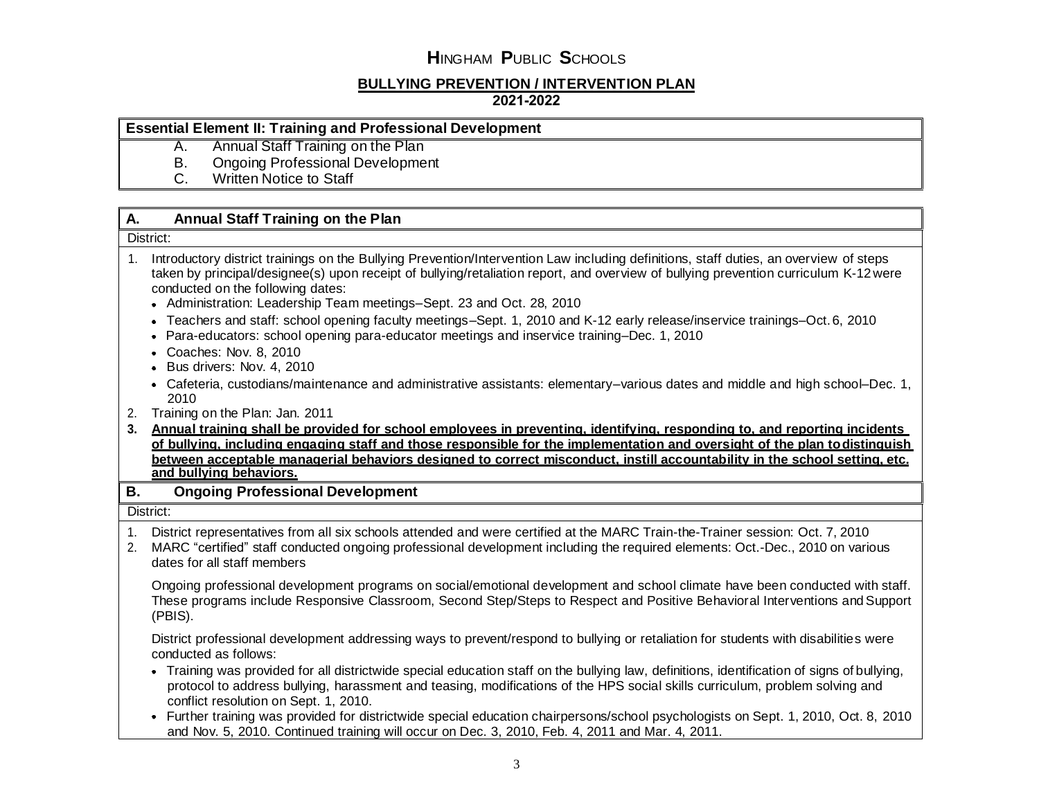# **BULLYING PREVENTION / INTERVENTION PLAN**

## **2021-2022**

### **Essential Element II: Training and Professional Development**

- A. Annual Staff Training on the Plan
- B. Ongoing Professional Development
- C. Written Notice to Staff

## **A. Annual Staff Training on the Plan**

#### District:

- 1. Introductory district trainings on the Bullying Prevention/Intervention Law including definitions, staff duties, an overview of steps taken by principal/designee(s) upon receipt of bullying/retaliation report, and overview of bullying prevention curriculum K-12were conducted on the following dates:
	- Administration: Leadership Team meetings–Sept. 23 and Oct. 28, 2010
	- Teachers and staff: school opening faculty meetings–Sept. 1, 2010 and K-12 early release/inservice trainings–Oct.6, 2010
	- Para-educators: school opening para-educator meetings and inservice training–Dec. 1, 2010
	- Coaches: Nov. 8, 2010
	- Bus drivers: Nov. 4, 2010
	- Cafeteria, custodians/maintenance and administrative assistants: elementary–various dates and middle and high school–Dec. 1, 2010
- 2. Training on the Plan: Jan. 2011
- **3. Annual training shall be provided for school employees in preventing, identifying, responding to, and reporting incidents of bullying, including engaging staff and those responsible for the implementation and oversight of the plan todistinguish between acceptable managerial behaviors designed to correct misconduct, instill accountability in the school setting, etc. and bullying behaviors.**

### **B. Ongoing Professional Development**

#### District:

- 1. District representatives from all six schools attended and were certified at the MARC Train-the-Trainer session: Oct. 7, 2010
- 2. MARC "certified" staff conducted ongoing professional development including the required elements: Oct.-Dec., 2010 on various dates for all staff members

Ongoing professional development programs on social/emotional development and school climate have been conducted with staff. These programs include Responsive Classroom, Second Step/Steps to Respect and Positive Behavioral Interventions andSupport (PBIS).

District professional development addressing ways to prevent/respond to bullying or retaliation for students with disabilities were conducted as follows:

- Training was provided for all districtwide special education staff on the bullying law, definitions, identification of signs ofbullying, protocol to address bullying, harassment and teasing, modifications of the HPS social skills curriculum, problem solving and conflict resolution on Sept. 1, 2010.
- Further training was provided for districtwide special education chairpersons/school psychologists on Sept. 1, 2010, Oct. 8, 2010 and Nov. 5, 2010. Continued training will occur on Dec. 3, 2010, Feb. 4, 2011 and Mar. 4, 2011.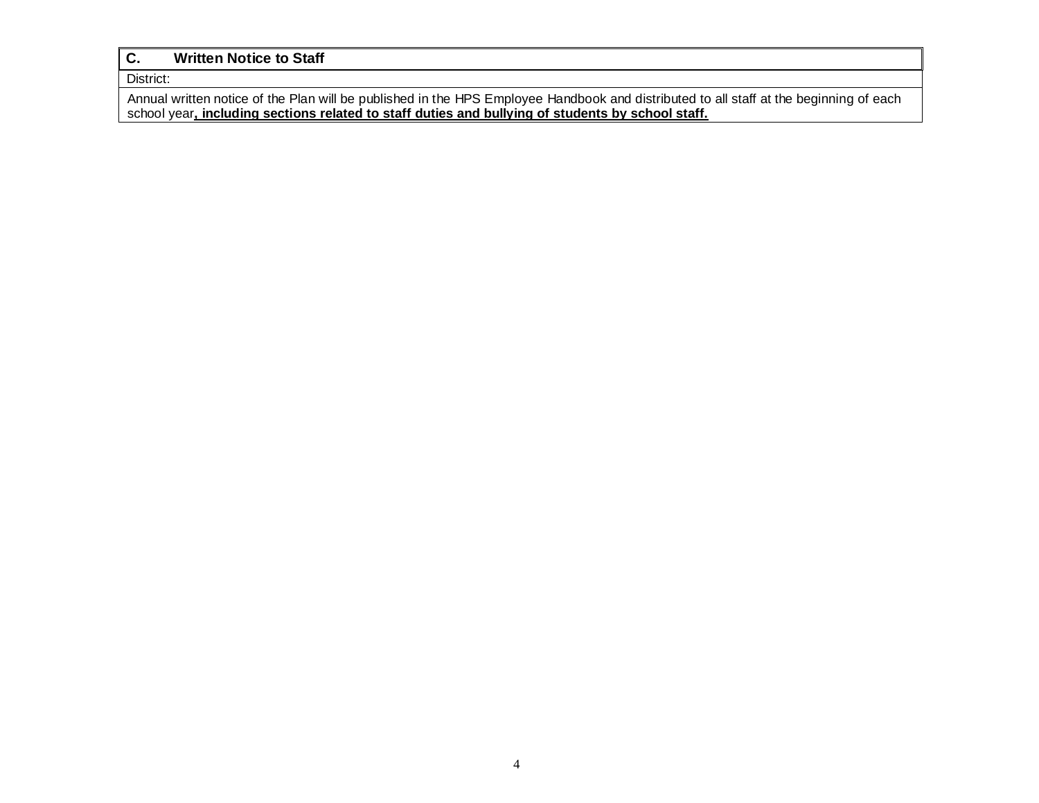## **C. Written Notice to Staff**

District:

Annual written notice of the Plan will be published in the HPS Employee Handbook and distributed to all staff at the beginning of each school year**, including sections related to staff duties and bullying of students by school staff.**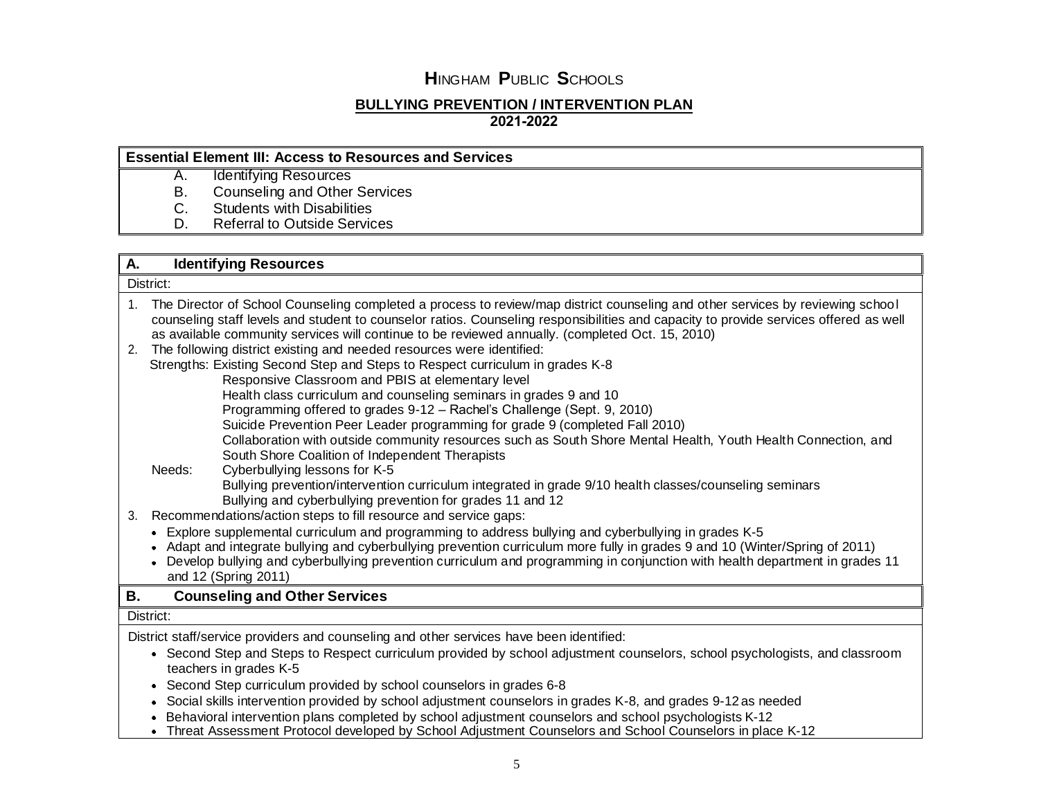## **BULLYING PREVENTION / INTERVENTION PLAN**

**2021-2022**

## **Essential Element III: Access to Resources and Services**

- A. Identifying Resources
- B. Counseling and Other Services
- C. Students with Disabilities
- D. Referral to Outside Services

## **A. Identifying Resources**

District:

| The Director of School Counseling completed a process to review/map district counseling and other services by reviewing school<br>$1_{\cdot}$<br>counseling staff levels and student to counselor ratios. Counseling responsibilities and capacity to provide services offered as well<br>as available community services will continue to be reviewed annually. (completed Oct. 15, 2010)<br>The following district existing and needed resources were identified:<br>2.<br>Strengths: Existing Second Step and Steps to Respect curriculum in grades K-8<br>Responsive Classroom and PBIS at elementary level<br>Health class curriculum and counseling seminars in grades 9 and 10<br>Programming offered to grades 9-12 - Rachel's Challenge (Sept. 9, 2010)<br>Suicide Prevention Peer Leader programming for grade 9 (completed Fall 2010)<br>Collaboration with outside community resources such as South Shore Mental Health, Youth Health Connection, and<br>South Shore Coalition of Independent Therapists<br>Needs:<br>Cyberbullying lessons for K-5<br>Bullying prevention/intervention curriculum integrated in grade 9/10 health classes/counseling seminars<br>Bullying and cyberbullying prevention for grades 11 and 12<br>Recommendations/action steps to fill resource and service gaps:<br>3.<br>• Explore supplemental curriculum and programming to address bullying and cyberbullying in grades K-5<br>Adapt and integrate bullying and cyberbullying prevention curriculum more fully in grades 9 and 10 (Winter/Spring of 2011)<br>Develop bullying and cyberbullying prevention curriculum and programming in conjunction with health department in grades 11<br>and 12 (Spring 2011)<br>В.<br><b>Counseling and Other Services</b><br>District:<br>District staff/service providers and counseling and other services have been identified:<br>Second Step and Steps to Respect curriculum provided by school adjustment counselors, school psychologists, and classroom<br>teachers in grades K-5<br>Second Step curriculum provided by school counselors in grades 6-8<br>٠<br>Social skills intervention provided by school adjustment counselors in grades K-8, and grades 9-12 as needed<br>Behavioral intervention plans completed by school adjustment counselors and school psychologists K-12 |  |                                                                                                          |  |  |  |  |
|------------------------------------------------------------------------------------------------------------------------------------------------------------------------------------------------------------------------------------------------------------------------------------------------------------------------------------------------------------------------------------------------------------------------------------------------------------------------------------------------------------------------------------------------------------------------------------------------------------------------------------------------------------------------------------------------------------------------------------------------------------------------------------------------------------------------------------------------------------------------------------------------------------------------------------------------------------------------------------------------------------------------------------------------------------------------------------------------------------------------------------------------------------------------------------------------------------------------------------------------------------------------------------------------------------------------------------------------------------------------------------------------------------------------------------------------------------------------------------------------------------------------------------------------------------------------------------------------------------------------------------------------------------------------------------------------------------------------------------------------------------------------------------------------------------------------------------------------------------------------------------------------------------------------------------------------------------------------------------------------------------------------------------------------------------------------------------------------------------------------------------------------------------------------------------------------------------------------------------------------------------------------------------------------------------------------------------|--|----------------------------------------------------------------------------------------------------------|--|--|--|--|
|                                                                                                                                                                                                                                                                                                                                                                                                                                                                                                                                                                                                                                                                                                                                                                                                                                                                                                                                                                                                                                                                                                                                                                                                                                                                                                                                                                                                                                                                                                                                                                                                                                                                                                                                                                                                                                                                                                                                                                                                                                                                                                                                                                                                                                                                                                                                    |  |                                                                                                          |  |  |  |  |
|                                                                                                                                                                                                                                                                                                                                                                                                                                                                                                                                                                                                                                                                                                                                                                                                                                                                                                                                                                                                                                                                                                                                                                                                                                                                                                                                                                                                                                                                                                                                                                                                                                                                                                                                                                                                                                                                                                                                                                                                                                                                                                                                                                                                                                                                                                                                    |  |                                                                                                          |  |  |  |  |
|                                                                                                                                                                                                                                                                                                                                                                                                                                                                                                                                                                                                                                                                                                                                                                                                                                                                                                                                                                                                                                                                                                                                                                                                                                                                                                                                                                                                                                                                                                                                                                                                                                                                                                                                                                                                                                                                                                                                                                                                                                                                                                                                                                                                                                                                                                                                    |  |                                                                                                          |  |  |  |  |
|                                                                                                                                                                                                                                                                                                                                                                                                                                                                                                                                                                                                                                                                                                                                                                                                                                                                                                                                                                                                                                                                                                                                                                                                                                                                                                                                                                                                                                                                                                                                                                                                                                                                                                                                                                                                                                                                                                                                                                                                                                                                                                                                                                                                                                                                                                                                    |  |                                                                                                          |  |  |  |  |
|                                                                                                                                                                                                                                                                                                                                                                                                                                                                                                                                                                                                                                                                                                                                                                                                                                                                                                                                                                                                                                                                                                                                                                                                                                                                                                                                                                                                                                                                                                                                                                                                                                                                                                                                                                                                                                                                                                                                                                                                                                                                                                                                                                                                                                                                                                                                    |  |                                                                                                          |  |  |  |  |
|                                                                                                                                                                                                                                                                                                                                                                                                                                                                                                                                                                                                                                                                                                                                                                                                                                                                                                                                                                                                                                                                                                                                                                                                                                                                                                                                                                                                                                                                                                                                                                                                                                                                                                                                                                                                                                                                                                                                                                                                                                                                                                                                                                                                                                                                                                                                    |  |                                                                                                          |  |  |  |  |
|                                                                                                                                                                                                                                                                                                                                                                                                                                                                                                                                                                                                                                                                                                                                                                                                                                                                                                                                                                                                                                                                                                                                                                                                                                                                                                                                                                                                                                                                                                                                                                                                                                                                                                                                                                                                                                                                                                                                                                                                                                                                                                                                                                                                                                                                                                                                    |  |                                                                                                          |  |  |  |  |
|                                                                                                                                                                                                                                                                                                                                                                                                                                                                                                                                                                                                                                                                                                                                                                                                                                                                                                                                                                                                                                                                                                                                                                                                                                                                                                                                                                                                                                                                                                                                                                                                                                                                                                                                                                                                                                                                                                                                                                                                                                                                                                                                                                                                                                                                                                                                    |  |                                                                                                          |  |  |  |  |
|                                                                                                                                                                                                                                                                                                                                                                                                                                                                                                                                                                                                                                                                                                                                                                                                                                                                                                                                                                                                                                                                                                                                                                                                                                                                                                                                                                                                                                                                                                                                                                                                                                                                                                                                                                                                                                                                                                                                                                                                                                                                                                                                                                                                                                                                                                                                    |  |                                                                                                          |  |  |  |  |
|                                                                                                                                                                                                                                                                                                                                                                                                                                                                                                                                                                                                                                                                                                                                                                                                                                                                                                                                                                                                                                                                                                                                                                                                                                                                                                                                                                                                                                                                                                                                                                                                                                                                                                                                                                                                                                                                                                                                                                                                                                                                                                                                                                                                                                                                                                                                    |  |                                                                                                          |  |  |  |  |
|                                                                                                                                                                                                                                                                                                                                                                                                                                                                                                                                                                                                                                                                                                                                                                                                                                                                                                                                                                                                                                                                                                                                                                                                                                                                                                                                                                                                                                                                                                                                                                                                                                                                                                                                                                                                                                                                                                                                                                                                                                                                                                                                                                                                                                                                                                                                    |  |                                                                                                          |  |  |  |  |
|                                                                                                                                                                                                                                                                                                                                                                                                                                                                                                                                                                                                                                                                                                                                                                                                                                                                                                                                                                                                                                                                                                                                                                                                                                                                                                                                                                                                                                                                                                                                                                                                                                                                                                                                                                                                                                                                                                                                                                                                                                                                                                                                                                                                                                                                                                                                    |  |                                                                                                          |  |  |  |  |
|                                                                                                                                                                                                                                                                                                                                                                                                                                                                                                                                                                                                                                                                                                                                                                                                                                                                                                                                                                                                                                                                                                                                                                                                                                                                                                                                                                                                                                                                                                                                                                                                                                                                                                                                                                                                                                                                                                                                                                                                                                                                                                                                                                                                                                                                                                                                    |  |                                                                                                          |  |  |  |  |
|                                                                                                                                                                                                                                                                                                                                                                                                                                                                                                                                                                                                                                                                                                                                                                                                                                                                                                                                                                                                                                                                                                                                                                                                                                                                                                                                                                                                                                                                                                                                                                                                                                                                                                                                                                                                                                                                                                                                                                                                                                                                                                                                                                                                                                                                                                                                    |  |                                                                                                          |  |  |  |  |
|                                                                                                                                                                                                                                                                                                                                                                                                                                                                                                                                                                                                                                                                                                                                                                                                                                                                                                                                                                                                                                                                                                                                                                                                                                                                                                                                                                                                                                                                                                                                                                                                                                                                                                                                                                                                                                                                                                                                                                                                                                                                                                                                                                                                                                                                                                                                    |  |                                                                                                          |  |  |  |  |
|                                                                                                                                                                                                                                                                                                                                                                                                                                                                                                                                                                                                                                                                                                                                                                                                                                                                                                                                                                                                                                                                                                                                                                                                                                                                                                                                                                                                                                                                                                                                                                                                                                                                                                                                                                                                                                                                                                                                                                                                                                                                                                                                                                                                                                                                                                                                    |  |                                                                                                          |  |  |  |  |
|                                                                                                                                                                                                                                                                                                                                                                                                                                                                                                                                                                                                                                                                                                                                                                                                                                                                                                                                                                                                                                                                                                                                                                                                                                                                                                                                                                                                                                                                                                                                                                                                                                                                                                                                                                                                                                                                                                                                                                                                                                                                                                                                                                                                                                                                                                                                    |  |                                                                                                          |  |  |  |  |
|                                                                                                                                                                                                                                                                                                                                                                                                                                                                                                                                                                                                                                                                                                                                                                                                                                                                                                                                                                                                                                                                                                                                                                                                                                                                                                                                                                                                                                                                                                                                                                                                                                                                                                                                                                                                                                                                                                                                                                                                                                                                                                                                                                                                                                                                                                                                    |  |                                                                                                          |  |  |  |  |
|                                                                                                                                                                                                                                                                                                                                                                                                                                                                                                                                                                                                                                                                                                                                                                                                                                                                                                                                                                                                                                                                                                                                                                                                                                                                                                                                                                                                                                                                                                                                                                                                                                                                                                                                                                                                                                                                                                                                                                                                                                                                                                                                                                                                                                                                                                                                    |  |                                                                                                          |  |  |  |  |
|                                                                                                                                                                                                                                                                                                                                                                                                                                                                                                                                                                                                                                                                                                                                                                                                                                                                                                                                                                                                                                                                                                                                                                                                                                                                                                                                                                                                                                                                                                                                                                                                                                                                                                                                                                                                                                                                                                                                                                                                                                                                                                                                                                                                                                                                                                                                    |  |                                                                                                          |  |  |  |  |
|                                                                                                                                                                                                                                                                                                                                                                                                                                                                                                                                                                                                                                                                                                                                                                                                                                                                                                                                                                                                                                                                                                                                                                                                                                                                                                                                                                                                                                                                                                                                                                                                                                                                                                                                                                                                                                                                                                                                                                                                                                                                                                                                                                                                                                                                                                                                    |  |                                                                                                          |  |  |  |  |
|                                                                                                                                                                                                                                                                                                                                                                                                                                                                                                                                                                                                                                                                                                                                                                                                                                                                                                                                                                                                                                                                                                                                                                                                                                                                                                                                                                                                                                                                                                                                                                                                                                                                                                                                                                                                                                                                                                                                                                                                                                                                                                                                                                                                                                                                                                                                    |  |                                                                                                          |  |  |  |  |
|                                                                                                                                                                                                                                                                                                                                                                                                                                                                                                                                                                                                                                                                                                                                                                                                                                                                                                                                                                                                                                                                                                                                                                                                                                                                                                                                                                                                                                                                                                                                                                                                                                                                                                                                                                                                                                                                                                                                                                                                                                                                                                                                                                                                                                                                                                                                    |  |                                                                                                          |  |  |  |  |
|                                                                                                                                                                                                                                                                                                                                                                                                                                                                                                                                                                                                                                                                                                                                                                                                                                                                                                                                                                                                                                                                                                                                                                                                                                                                                                                                                                                                                                                                                                                                                                                                                                                                                                                                                                                                                                                                                                                                                                                                                                                                                                                                                                                                                                                                                                                                    |  |                                                                                                          |  |  |  |  |
|                                                                                                                                                                                                                                                                                                                                                                                                                                                                                                                                                                                                                                                                                                                                                                                                                                                                                                                                                                                                                                                                                                                                                                                                                                                                                                                                                                                                                                                                                                                                                                                                                                                                                                                                                                                                                                                                                                                                                                                                                                                                                                                                                                                                                                                                                                                                    |  |                                                                                                          |  |  |  |  |
|                                                                                                                                                                                                                                                                                                                                                                                                                                                                                                                                                                                                                                                                                                                                                                                                                                                                                                                                                                                                                                                                                                                                                                                                                                                                                                                                                                                                                                                                                                                                                                                                                                                                                                                                                                                                                                                                                                                                                                                                                                                                                                                                                                                                                                                                                                                                    |  | Threat Assessment Protocol developed by School Adjustment Counselors and School Counselors in place K-12 |  |  |  |  |
|                                                                                                                                                                                                                                                                                                                                                                                                                                                                                                                                                                                                                                                                                                                                                                                                                                                                                                                                                                                                                                                                                                                                                                                                                                                                                                                                                                                                                                                                                                                                                                                                                                                                                                                                                                                                                                                                                                                                                                                                                                                                                                                                                                                                                                                                                                                                    |  |                                                                                                          |  |  |  |  |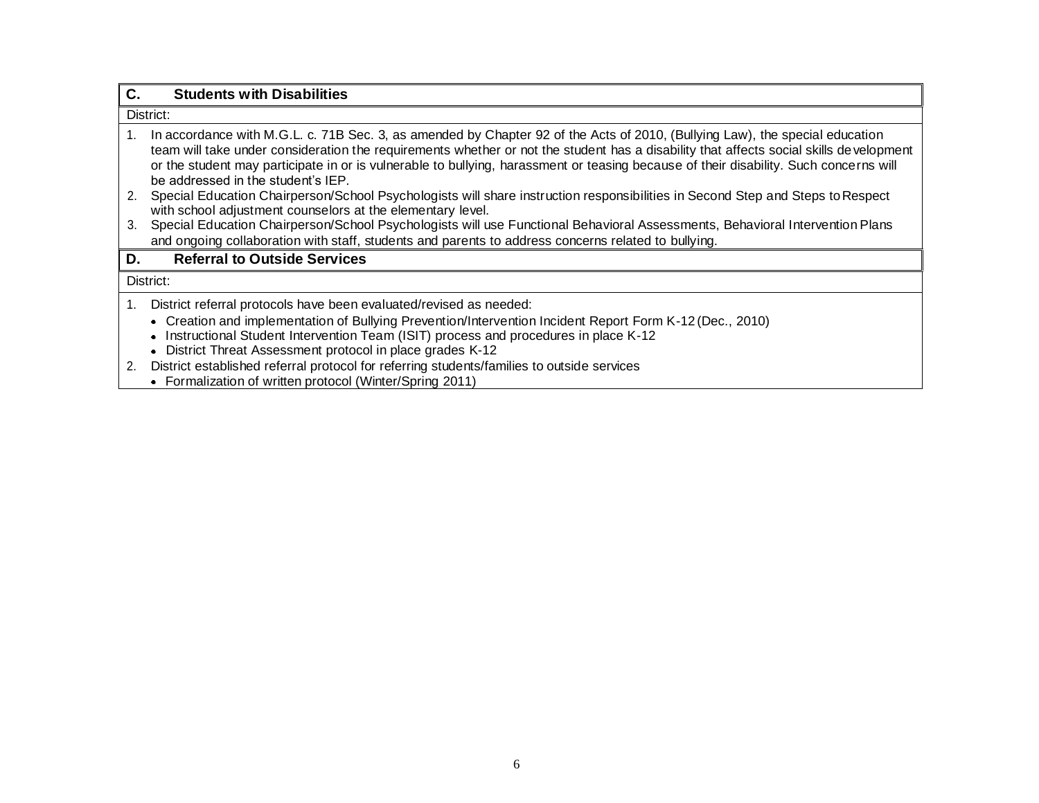| $\mathbf{C}$ . | <b>Students with Disabilities</b>                                                                                                                                                                                                                                                                                                                                                                                                                     |
|----------------|-------------------------------------------------------------------------------------------------------------------------------------------------------------------------------------------------------------------------------------------------------------------------------------------------------------------------------------------------------------------------------------------------------------------------------------------------------|
|                | District:                                                                                                                                                                                                                                                                                                                                                                                                                                             |
| 1.             | In accordance with M.G.L. c. 71B Sec. 3, as amended by Chapter 92 of the Acts of 2010, (Bullying Law), the special education<br>team will take under consideration the requirements whether or not the student has a disability that affects social skills development<br>or the student may participate in or is vulnerable to bullying, harassment or teasing because of their disability. Such concerns will<br>be addressed in the student's IEP. |
| 2.             | Special Education Chairperson/School Psychologists will share instruction responsibilities in Second Step and Steps to Respect<br>with school adjustment counselors at the elementary level.                                                                                                                                                                                                                                                          |
| 3.             | Special Education Chairperson/School Psychologists will use Functional Behavioral Assessments, Behavioral Intervention Plans                                                                                                                                                                                                                                                                                                                          |
|                | and ongoing collaboration with staff, students and parents to address concerns related to bullying.                                                                                                                                                                                                                                                                                                                                                   |
| D.             | <b>Referral to Outside Services</b>                                                                                                                                                                                                                                                                                                                                                                                                                   |
|                | District:                                                                                                                                                                                                                                                                                                                                                                                                                                             |
| 1.             | District referral protocols have been evaluated/revised as needed:                                                                                                                                                                                                                                                                                                                                                                                    |
|                | • Creation and implementation of Bullying Prevention/Intervention Incident Report Form K-12 (Dec., 2010)                                                                                                                                                                                                                                                                                                                                              |
|                | Instructional Student Intervention Team (ISIT) process and procedures in place K-12<br>٠                                                                                                                                                                                                                                                                                                                                                              |
|                | District Threat Assessment protocol in place grades K-12                                                                                                                                                                                                                                                                                                                                                                                              |
| 2.             | District established referral protocol for referring students/families to outside services                                                                                                                                                                                                                                                                                                                                                            |
|                | • Formalization of written protocol (Winter/Spring 2011)                                                                                                                                                                                                                                                                                                                                                                                              |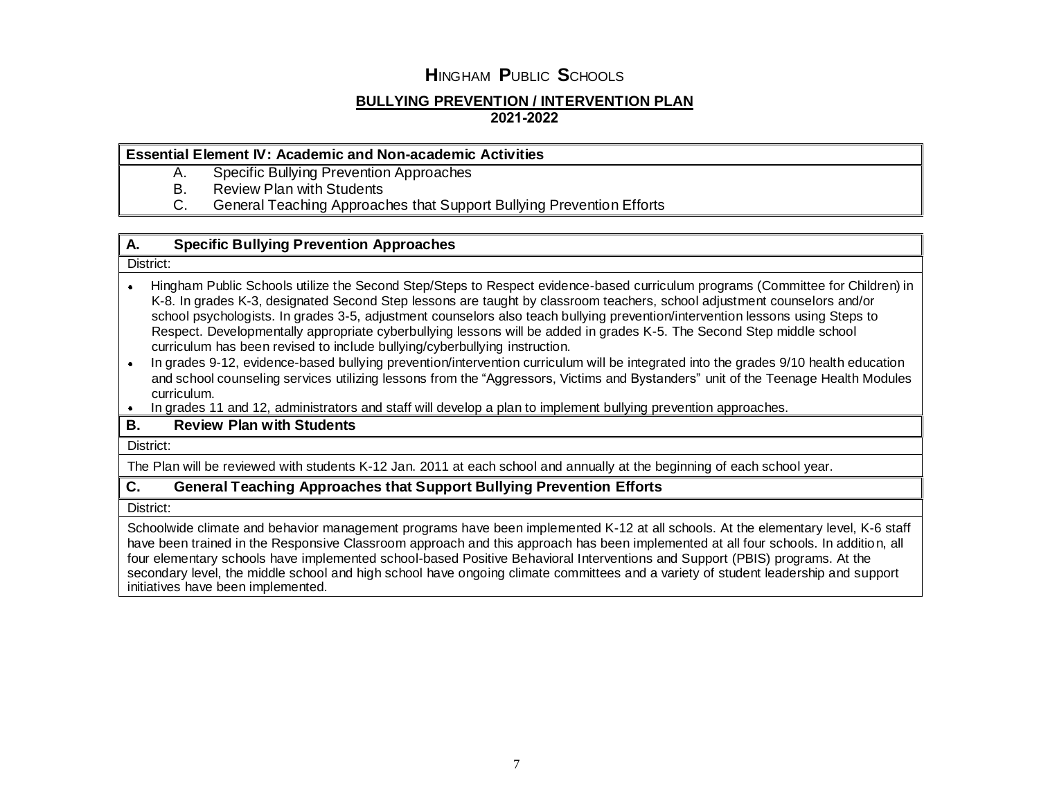### **BULLYING PREVENTION / INTERVENTION PLAN 2021-2022**

### **Essential Element IV: Academic and Non-academic Activities**

- A. Specific Bullying Prevention Approaches
- B. Review Plan with Students<br>C. General Teaching Approac
- C. General Teaching Approaches that Support Bullying Prevention Efforts

## **A. Specific Bullying Prevention Approaches**

#### District:

- Hingham Public Schools utilize the Second Step/Steps to Respect evidence-based curriculum programs (Committee for Children) in  $\bullet$ K-8. In grades K-3, designated Second Step lessons are taught by classroom teachers, school adjustment counselors and/or school psychologists. In grades 3-5, adjustment counselors also teach bullying prevention/intervention lessons using Steps to Respect. Developmentally appropriate cyberbullying lessons will be added in grades K-5. The Second Step middle school curriculum has been revised to include bullying/cyberbullying instruction.
- In grades 9-12, evidence-based bullying prevention/intervention curriculum will be integrated into the grades 9/10 health education and school counseling services utilizing lessons from the "Aggressors, Victims and Bystanders" unit of the Teenage Health Modules curriculum.
- In grades 11 and 12, administrators and staff will develop a plan to implement bullying prevention approaches.

## **B. Review Plan with Students**

District:

The Plan will be reviewed with students K-12 Jan. 2011 at each school and annually at the beginning of each school year.

## **C. General Teaching Approaches that Support Bullying Prevention Efforts**

District:

Schoolwide climate and behavior management programs have been implemented K-12 at all schools. At the elementary level, K-6 staff have been trained in the Responsive Classroom approach and this approach has been implemented at all four schools. In addition, all four elementary schools have implemented school-based Positive Behavioral Interventions and Support (PBIS) programs. At the secondary level, the middle school and high school have ongoing climate committees and a variety of student leadership and support initiatives have been implemented.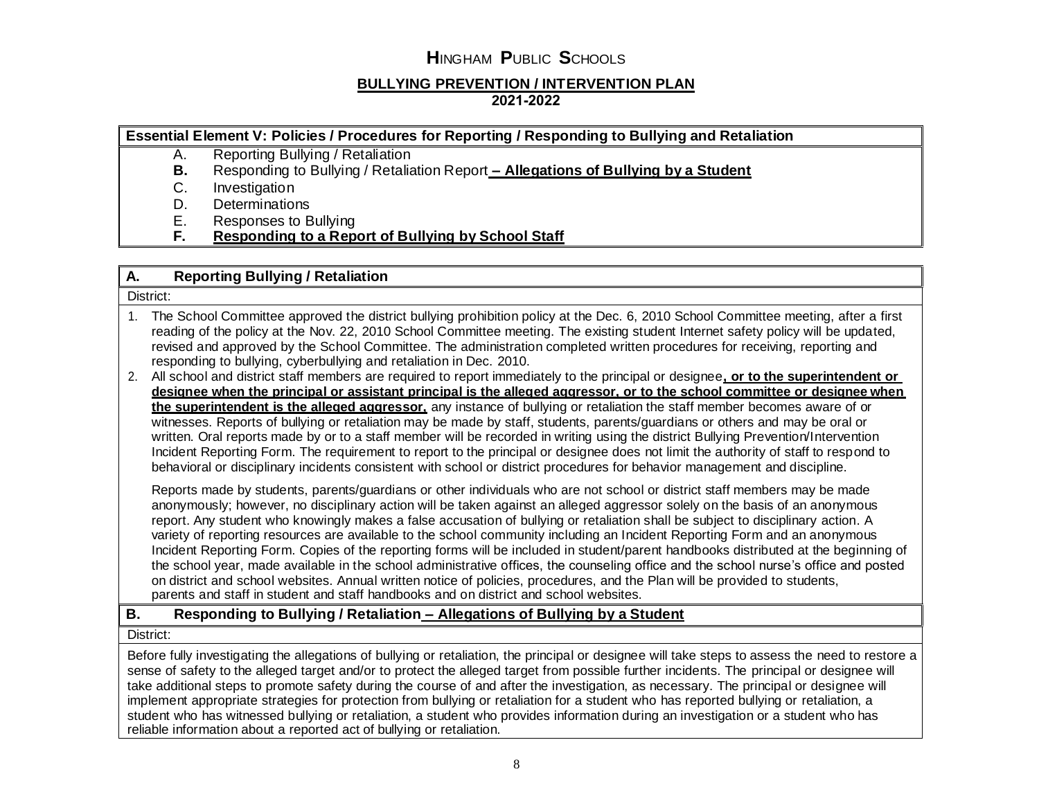## **BULLYING PREVENTION / INTERVENTION PLAN 2021-2022**

## **Essential Element V: Policies / Procedures for Reporting / Responding to Bullying and Retaliation**

- A. Reporting Bullying / Retaliation
- **B.** Responding to Bullying / Retaliation Report **– Allegations of Bullying by a Student**
- C. Investigation
- D. Determinations
- E. Responses to Bullying
- **F. Responding to a Report of Bullying by School Staff**

### **A. Reporting Bullying / Retaliation**

District:

- 1. The School Committee approved the district bullying prohibition policy at the Dec. 6, 2010 School Committee meeting, after a first reading of the policy at the Nov. 22, 2010 School Committee meeting. The existing student Internet safety policy will be updated, revised and approved by the School Committee. The administration completed written procedures for receiving, reporting and responding to bullying, cyberbullying and retaliation in Dec. 2010.
- 2. All school and district staff members are required to report immediately to the principal or designee**, or to the superintendent or designee when the principal or assistant principal is the alleged aggressor, or to the school committee or designee when the superintendent is the alleged aggressor,** any instance of bullying or retaliation the staff member becomes aware of or witnesses. Reports of bullying or retaliation may be made by staff, students, parents/guardians or others and may be oral or written. Oral reports made by or to a staff member will be recorded in writing using the district Bullying Prevention/Intervention Incident Reporting Form. The requirement to report to the principal or designee does not limit the authority of staff to respond to behavioral or disciplinary incidents consistent with school or district procedures for behavior management and discipline.

Reports made by students, parents/guardians or other individuals who are not school or district staff members may be made anonymously; however, no disciplinary action will be taken against an alleged aggressor solely on the basis of an anonymous report. Any student who knowingly makes a false accusation of bullying or retaliation shall be subject to disciplinary action. A variety of reporting resources are available to the school community including an Incident Reporting Form and an anonymous Incident Reporting Form. Copies of the reporting forms will be included in student/parent handbooks distributed at the beginning of the school year, made available in the school administrative offices, the counseling office and the school nurse's office and posted on district and school websites. Annual written notice of policies, procedures, and the Plan will be provided to students, parents and staff in student and staff handbooks and on district and school websites.

## **B. Responding to Bullying / Retaliation – Allegations of Bullying by a Student**

District:

Before fully investigating the allegations of bullying or retaliation, the principal or designee will take steps to assess the need to restore a sense of safety to the alleged target and/or to protect the alleged target from possible further incidents. The principal or designee will take additional steps to promote safety during the course of and after the investigation, as necessary. The principal or designee will implement appropriate strategies for protection from bullying or retaliation for a student who has reported bullying or retaliation, a student who has witnessed bullying or retaliation, a student who provides information during an investigation or a student who has reliable information about a reported act of bullying or retaliation.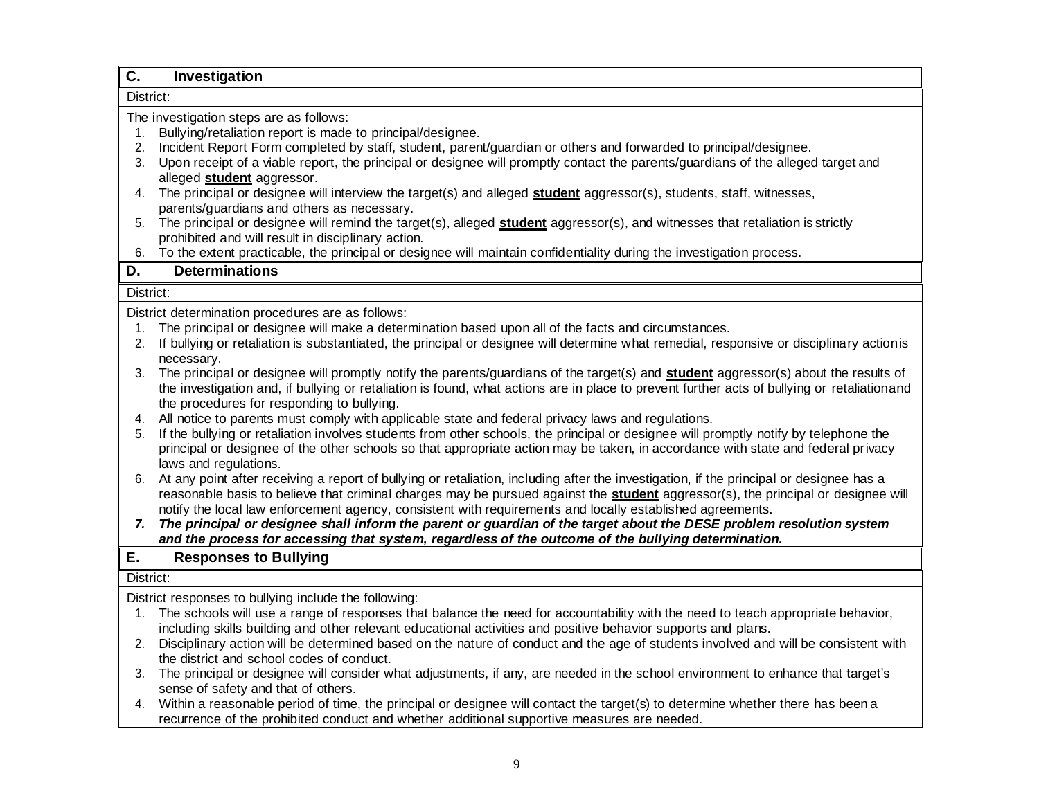| Investigation                                                                                                                                                                                                                                                                                                                                                                                                                                                                                                                                                                                                                                                                                                                                                                                                                                                                                                                                                                                                                                                                                                                                                                                                                                                                                                                                                                                                                                                                                                                                                                                                                                                                                                                                                                                                                                                                                                                                                                                                                                                                                                                                                                                                                                                                                                                                                                                                                                                                                                                                     |  |
|---------------------------------------------------------------------------------------------------------------------------------------------------------------------------------------------------------------------------------------------------------------------------------------------------------------------------------------------------------------------------------------------------------------------------------------------------------------------------------------------------------------------------------------------------------------------------------------------------------------------------------------------------------------------------------------------------------------------------------------------------------------------------------------------------------------------------------------------------------------------------------------------------------------------------------------------------------------------------------------------------------------------------------------------------------------------------------------------------------------------------------------------------------------------------------------------------------------------------------------------------------------------------------------------------------------------------------------------------------------------------------------------------------------------------------------------------------------------------------------------------------------------------------------------------------------------------------------------------------------------------------------------------------------------------------------------------------------------------------------------------------------------------------------------------------------------------------------------------------------------------------------------------------------------------------------------------------------------------------------------------------------------------------------------------------------------------------------------------------------------------------------------------------------------------------------------------------------------------------------------------------------------------------------------------------------------------------------------------------------------------------------------------------------------------------------------------------------------------------------------------------------------------------------------------|--|
| District:                                                                                                                                                                                                                                                                                                                                                                                                                                                                                                                                                                                                                                                                                                                                                                                                                                                                                                                                                                                                                                                                                                                                                                                                                                                                                                                                                                                                                                                                                                                                                                                                                                                                                                                                                                                                                                                                                                                                                                                                                                                                                                                                                                                                                                                                                                                                                                                                                                                                                                                                         |  |
| The investigation steps are as follows:                                                                                                                                                                                                                                                                                                                                                                                                                                                                                                                                                                                                                                                                                                                                                                                                                                                                                                                                                                                                                                                                                                                                                                                                                                                                                                                                                                                                                                                                                                                                                                                                                                                                                                                                                                                                                                                                                                                                                                                                                                                                                                                                                                                                                                                                                                                                                                                                                                                                                                           |  |
| Bullying/retaliation report is made to principal/designee.                                                                                                                                                                                                                                                                                                                                                                                                                                                                                                                                                                                                                                                                                                                                                                                                                                                                                                                                                                                                                                                                                                                                                                                                                                                                                                                                                                                                                                                                                                                                                                                                                                                                                                                                                                                                                                                                                                                                                                                                                                                                                                                                                                                                                                                                                                                                                                                                                                                                                        |  |
| Incident Report Form completed by staff, student, parent/guardian or others and forwarded to principal/designee.                                                                                                                                                                                                                                                                                                                                                                                                                                                                                                                                                                                                                                                                                                                                                                                                                                                                                                                                                                                                                                                                                                                                                                                                                                                                                                                                                                                                                                                                                                                                                                                                                                                                                                                                                                                                                                                                                                                                                                                                                                                                                                                                                                                                                                                                                                                                                                                                                                  |  |
| Upon receipt of a viable report, the principal or designee will promptly contact the parents/guardians of the alleged target and                                                                                                                                                                                                                                                                                                                                                                                                                                                                                                                                                                                                                                                                                                                                                                                                                                                                                                                                                                                                                                                                                                                                                                                                                                                                                                                                                                                                                                                                                                                                                                                                                                                                                                                                                                                                                                                                                                                                                                                                                                                                                                                                                                                                                                                                                                                                                                                                                  |  |
| alleged student aggressor.                                                                                                                                                                                                                                                                                                                                                                                                                                                                                                                                                                                                                                                                                                                                                                                                                                                                                                                                                                                                                                                                                                                                                                                                                                                                                                                                                                                                                                                                                                                                                                                                                                                                                                                                                                                                                                                                                                                                                                                                                                                                                                                                                                                                                                                                                                                                                                                                                                                                                                                        |  |
| The principal or designee will interview the target(s) and alleged student aggressor(s), students, staff, witnesses,                                                                                                                                                                                                                                                                                                                                                                                                                                                                                                                                                                                                                                                                                                                                                                                                                                                                                                                                                                                                                                                                                                                                                                                                                                                                                                                                                                                                                                                                                                                                                                                                                                                                                                                                                                                                                                                                                                                                                                                                                                                                                                                                                                                                                                                                                                                                                                                                                              |  |
| parents/guardians and others as necessary.                                                                                                                                                                                                                                                                                                                                                                                                                                                                                                                                                                                                                                                                                                                                                                                                                                                                                                                                                                                                                                                                                                                                                                                                                                                                                                                                                                                                                                                                                                                                                                                                                                                                                                                                                                                                                                                                                                                                                                                                                                                                                                                                                                                                                                                                                                                                                                                                                                                                                                        |  |
| The principal or designee will remind the target(s), alleged student aggressor(s), and witnesses that retaliation is strictly                                                                                                                                                                                                                                                                                                                                                                                                                                                                                                                                                                                                                                                                                                                                                                                                                                                                                                                                                                                                                                                                                                                                                                                                                                                                                                                                                                                                                                                                                                                                                                                                                                                                                                                                                                                                                                                                                                                                                                                                                                                                                                                                                                                                                                                                                                                                                                                                                     |  |
| prohibited and will result in disciplinary action.                                                                                                                                                                                                                                                                                                                                                                                                                                                                                                                                                                                                                                                                                                                                                                                                                                                                                                                                                                                                                                                                                                                                                                                                                                                                                                                                                                                                                                                                                                                                                                                                                                                                                                                                                                                                                                                                                                                                                                                                                                                                                                                                                                                                                                                                                                                                                                                                                                                                                                |  |
|                                                                                                                                                                                                                                                                                                                                                                                                                                                                                                                                                                                                                                                                                                                                                                                                                                                                                                                                                                                                                                                                                                                                                                                                                                                                                                                                                                                                                                                                                                                                                                                                                                                                                                                                                                                                                                                                                                                                                                                                                                                                                                                                                                                                                                                                                                                                                                                                                                                                                                                                                   |  |
|                                                                                                                                                                                                                                                                                                                                                                                                                                                                                                                                                                                                                                                                                                                                                                                                                                                                                                                                                                                                                                                                                                                                                                                                                                                                                                                                                                                                                                                                                                                                                                                                                                                                                                                                                                                                                                                                                                                                                                                                                                                                                                                                                                                                                                                                                                                                                                                                                                                                                                                                                   |  |
| District:                                                                                                                                                                                                                                                                                                                                                                                                                                                                                                                                                                                                                                                                                                                                                                                                                                                                                                                                                                                                                                                                                                                                                                                                                                                                                                                                                                                                                                                                                                                                                                                                                                                                                                                                                                                                                                                                                                                                                                                                                                                                                                                                                                                                                                                                                                                                                                                                                                                                                                                                         |  |
| District determination procedures are as follows:                                                                                                                                                                                                                                                                                                                                                                                                                                                                                                                                                                                                                                                                                                                                                                                                                                                                                                                                                                                                                                                                                                                                                                                                                                                                                                                                                                                                                                                                                                                                                                                                                                                                                                                                                                                                                                                                                                                                                                                                                                                                                                                                                                                                                                                                                                                                                                                                                                                                                                 |  |
| The principal or designee will make a determination based upon all of the facts and circumstances.                                                                                                                                                                                                                                                                                                                                                                                                                                                                                                                                                                                                                                                                                                                                                                                                                                                                                                                                                                                                                                                                                                                                                                                                                                                                                                                                                                                                                                                                                                                                                                                                                                                                                                                                                                                                                                                                                                                                                                                                                                                                                                                                                                                                                                                                                                                                                                                                                                                |  |
|                                                                                                                                                                                                                                                                                                                                                                                                                                                                                                                                                                                                                                                                                                                                                                                                                                                                                                                                                                                                                                                                                                                                                                                                                                                                                                                                                                                                                                                                                                                                                                                                                                                                                                                                                                                                                                                                                                                                                                                                                                                                                                                                                                                                                                                                                                                                                                                                                                                                                                                                                   |  |
| necessary.                                                                                                                                                                                                                                                                                                                                                                                                                                                                                                                                                                                                                                                                                                                                                                                                                                                                                                                                                                                                                                                                                                                                                                                                                                                                                                                                                                                                                                                                                                                                                                                                                                                                                                                                                                                                                                                                                                                                                                                                                                                                                                                                                                                                                                                                                                                                                                                                                                                                                                                                        |  |
|                                                                                                                                                                                                                                                                                                                                                                                                                                                                                                                                                                                                                                                                                                                                                                                                                                                                                                                                                                                                                                                                                                                                                                                                                                                                                                                                                                                                                                                                                                                                                                                                                                                                                                                                                                                                                                                                                                                                                                                                                                                                                                                                                                                                                                                                                                                                                                                                                                                                                                                                                   |  |
|                                                                                                                                                                                                                                                                                                                                                                                                                                                                                                                                                                                                                                                                                                                                                                                                                                                                                                                                                                                                                                                                                                                                                                                                                                                                                                                                                                                                                                                                                                                                                                                                                                                                                                                                                                                                                                                                                                                                                                                                                                                                                                                                                                                                                                                                                                                                                                                                                                                                                                                                                   |  |
|                                                                                                                                                                                                                                                                                                                                                                                                                                                                                                                                                                                                                                                                                                                                                                                                                                                                                                                                                                                                                                                                                                                                                                                                                                                                                                                                                                                                                                                                                                                                                                                                                                                                                                                                                                                                                                                                                                                                                                                                                                                                                                                                                                                                                                                                                                                                                                                                                                                                                                                                                   |  |
|                                                                                                                                                                                                                                                                                                                                                                                                                                                                                                                                                                                                                                                                                                                                                                                                                                                                                                                                                                                                                                                                                                                                                                                                                                                                                                                                                                                                                                                                                                                                                                                                                                                                                                                                                                                                                                                                                                                                                                                                                                                                                                                                                                                                                                                                                                                                                                                                                                                                                                                                                   |  |
|                                                                                                                                                                                                                                                                                                                                                                                                                                                                                                                                                                                                                                                                                                                                                                                                                                                                                                                                                                                                                                                                                                                                                                                                                                                                                                                                                                                                                                                                                                                                                                                                                                                                                                                                                                                                                                                                                                                                                                                                                                                                                                                                                                                                                                                                                                                                                                                                                                                                                                                                                   |  |
|                                                                                                                                                                                                                                                                                                                                                                                                                                                                                                                                                                                                                                                                                                                                                                                                                                                                                                                                                                                                                                                                                                                                                                                                                                                                                                                                                                                                                                                                                                                                                                                                                                                                                                                                                                                                                                                                                                                                                                                                                                                                                                                                                                                                                                                                                                                                                                                                                                                                                                                                                   |  |
|                                                                                                                                                                                                                                                                                                                                                                                                                                                                                                                                                                                                                                                                                                                                                                                                                                                                                                                                                                                                                                                                                                                                                                                                                                                                                                                                                                                                                                                                                                                                                                                                                                                                                                                                                                                                                                                                                                                                                                                                                                                                                                                                                                                                                                                                                                                                                                                                                                                                                                                                                   |  |
|                                                                                                                                                                                                                                                                                                                                                                                                                                                                                                                                                                                                                                                                                                                                                                                                                                                                                                                                                                                                                                                                                                                                                                                                                                                                                                                                                                                                                                                                                                                                                                                                                                                                                                                                                                                                                                                                                                                                                                                                                                                                                                                                                                                                                                                                                                                                                                                                                                                                                                                                                   |  |
|                                                                                                                                                                                                                                                                                                                                                                                                                                                                                                                                                                                                                                                                                                                                                                                                                                                                                                                                                                                                                                                                                                                                                                                                                                                                                                                                                                                                                                                                                                                                                                                                                                                                                                                                                                                                                                                                                                                                                                                                                                                                                                                                                                                                                                                                                                                                                                                                                                                                                                                                                   |  |
|                                                                                                                                                                                                                                                                                                                                                                                                                                                                                                                                                                                                                                                                                                                                                                                                                                                                                                                                                                                                                                                                                                                                                                                                                                                                                                                                                                                                                                                                                                                                                                                                                                                                                                                                                                                                                                                                                                                                                                                                                                                                                                                                                                                                                                                                                                                                                                                                                                                                                                                                                   |  |
|                                                                                                                                                                                                                                                                                                                                                                                                                                                                                                                                                                                                                                                                                                                                                                                                                                                                                                                                                                                                                                                                                                                                                                                                                                                                                                                                                                                                                                                                                                                                                                                                                                                                                                                                                                                                                                                                                                                                                                                                                                                                                                                                                                                                                                                                                                                                                                                                                                                                                                                                                   |  |
|                                                                                                                                                                                                                                                                                                                                                                                                                                                                                                                                                                                                                                                                                                                                                                                                                                                                                                                                                                                                                                                                                                                                                                                                                                                                                                                                                                                                                                                                                                                                                                                                                                                                                                                                                                                                                                                                                                                                                                                                                                                                                                                                                                                                                                                                                                                                                                                                                                                                                                                                                   |  |
|                                                                                                                                                                                                                                                                                                                                                                                                                                                                                                                                                                                                                                                                                                                                                                                                                                                                                                                                                                                                                                                                                                                                                                                                                                                                                                                                                                                                                                                                                                                                                                                                                                                                                                                                                                                                                                                                                                                                                                                                                                                                                                                                                                                                                                                                                                                                                                                                                                                                                                                                                   |  |
|                                                                                                                                                                                                                                                                                                                                                                                                                                                                                                                                                                                                                                                                                                                                                                                                                                                                                                                                                                                                                                                                                                                                                                                                                                                                                                                                                                                                                                                                                                                                                                                                                                                                                                                                                                                                                                                                                                                                                                                                                                                                                                                                                                                                                                                                                                                                                                                                                                                                                                                                                   |  |
|                                                                                                                                                                                                                                                                                                                                                                                                                                                                                                                                                                                                                                                                                                                                                                                                                                                                                                                                                                                                                                                                                                                                                                                                                                                                                                                                                                                                                                                                                                                                                                                                                                                                                                                                                                                                                                                                                                                                                                                                                                                                                                                                                                                                                                                                                                                                                                                                                                                                                                                                                   |  |
|                                                                                                                                                                                                                                                                                                                                                                                                                                                                                                                                                                                                                                                                                                                                                                                                                                                                                                                                                                                                                                                                                                                                                                                                                                                                                                                                                                                                                                                                                                                                                                                                                                                                                                                                                                                                                                                                                                                                                                                                                                                                                                                                                                                                                                                                                                                                                                                                                                                                                                                                                   |  |
|                                                                                                                                                                                                                                                                                                                                                                                                                                                                                                                                                                                                                                                                                                                                                                                                                                                                                                                                                                                                                                                                                                                                                                                                                                                                                                                                                                                                                                                                                                                                                                                                                                                                                                                                                                                                                                                                                                                                                                                                                                                                                                                                                                                                                                                                                                                                                                                                                                                                                                                                                   |  |
|                                                                                                                                                                                                                                                                                                                                                                                                                                                                                                                                                                                                                                                                                                                                                                                                                                                                                                                                                                                                                                                                                                                                                                                                                                                                                                                                                                                                                                                                                                                                                                                                                                                                                                                                                                                                                                                                                                                                                                                                                                                                                                                                                                                                                                                                                                                                                                                                                                                                                                                                                   |  |
|                                                                                                                                                                                                                                                                                                                                                                                                                                                                                                                                                                                                                                                                                                                                                                                                                                                                                                                                                                                                                                                                                                                                                                                                                                                                                                                                                                                                                                                                                                                                                                                                                                                                                                                                                                                                                                                                                                                                                                                                                                                                                                                                                                                                                                                                                                                                                                                                                                                                                                                                                   |  |
|                                                                                                                                                                                                                                                                                                                                                                                                                                                                                                                                                                                                                                                                                                                                                                                                                                                                                                                                                                                                                                                                                                                                                                                                                                                                                                                                                                                                                                                                                                                                                                                                                                                                                                                                                                                                                                                                                                                                                                                                                                                                                                                                                                                                                                                                                                                                                                                                                                                                                                                                                   |  |
|                                                                                                                                                                                                                                                                                                                                                                                                                                                                                                                                                                                                                                                                                                                                                                                                                                                                                                                                                                                                                                                                                                                                                                                                                                                                                                                                                                                                                                                                                                                                                                                                                                                                                                                                                                                                                                                                                                                                                                                                                                                                                                                                                                                                                                                                                                                                                                                                                                                                                                                                                   |  |
| To the extent practicable, the principal or designee will maintain confidentiality during the investigation process.<br><b>Determinations</b><br>If bullying or retaliation is substantiated, the principal or designee will determine what remedial, responsive or disciplinary actionis<br>The principal or designee will promptly notify the parents/guardians of the target(s) and <b>student</b> aggressor(s) about the results of<br>the investigation and, if bullying or retaliation is found, what actions are in place to prevent further acts of bullying or retaliation and<br>the procedures for responding to bullying.<br>All notice to parents must comply with applicable state and federal privacy laws and regulations.<br>If the bullying or retaliation involves students from other schools, the principal or designee will promptly notify by telephone the<br>principal or designee of the other schools so that appropriate action may be taken, in accordance with state and federal privacy<br>laws and regulations.<br>At any point after receiving a report of bullying or retaliation, including after the investigation, if the principal or designee has a<br>reasonable basis to believe that criminal charges may be pursued against the <b>student</b> aggressor(s), the principal or designee will<br>notify the local law enforcement agency, consistent with requirements and locally established agreements.<br>7. The principal or designee shall inform the parent or guardian of the target about the DESE problem resolution system<br>and the process for accessing that system, regardless of the outcome of the bullying determination.<br><b>Responses to Bullying</b><br>District:<br>District responses to bullying include the following:<br>The schools will use a range of responses that balance the need for accountability with the need to teach appropriate behavior,<br>including skills building and other relevant educational activities and positive behavior supports and plans.<br>Disciplinary action will be determined based on the nature of conduct and the age of students involved and will be consistent with<br>the district and school codes of conduct.<br>The principal or designee will consider what adjustments, if any, are needed in the school environment to enhance that target's<br>sense of safety and that of others.<br>4. Within a reasonable period of time, the principal or designee will contact the target(s) to determine whether there has been a |  |

recurrence of the prohibited conduct and whether additional supportive measures are needed.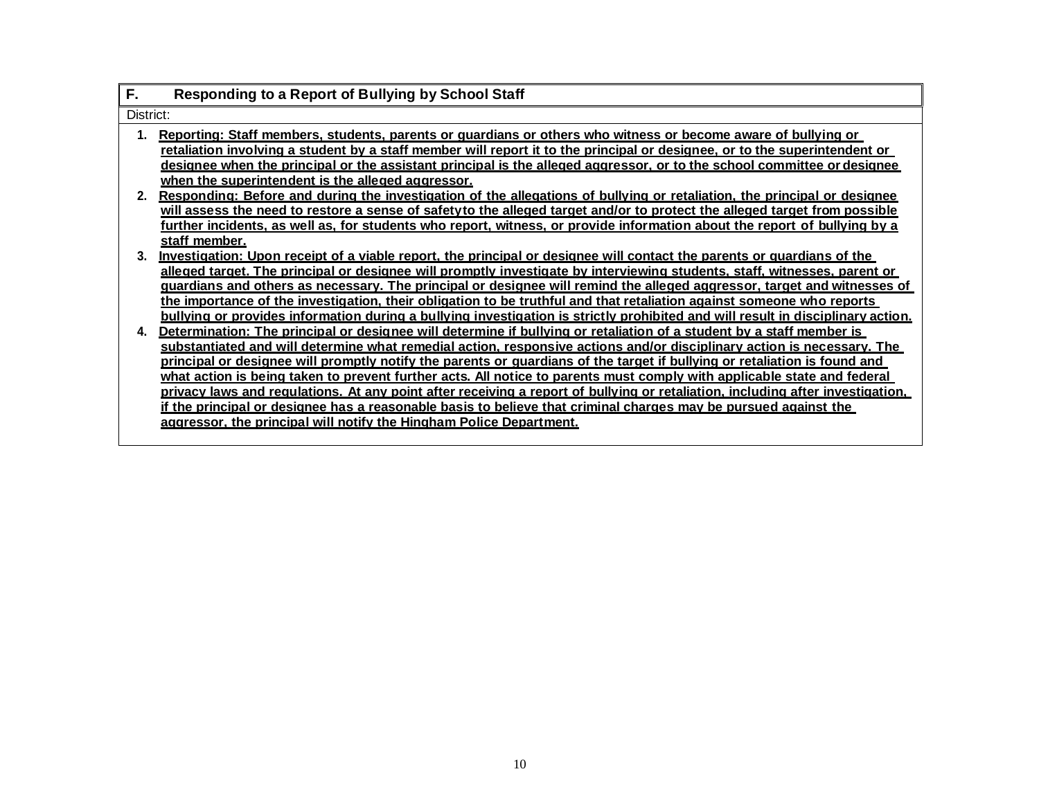| F.        | <b>Responding to a Report of Bullying by School Staff</b>                                                                                                                                                                                                                                                                                                                                                                                                                                                                                                                                                                                                                                                                                                                                                                                 |
|-----------|-------------------------------------------------------------------------------------------------------------------------------------------------------------------------------------------------------------------------------------------------------------------------------------------------------------------------------------------------------------------------------------------------------------------------------------------------------------------------------------------------------------------------------------------------------------------------------------------------------------------------------------------------------------------------------------------------------------------------------------------------------------------------------------------------------------------------------------------|
| District: |                                                                                                                                                                                                                                                                                                                                                                                                                                                                                                                                                                                                                                                                                                                                                                                                                                           |
|           | Reporting: Staff members, students, parents or quardians or others who witness or become aware of bullying or<br><u>retaliation involving a student by a staff member will report it to the principal or designee, or to the superintendent or</u><br>designee when the principal or the assistant principal is the alleged aggressor, or to the school committee or designee<br>when the superintendent is the alleged aggressor.                                                                                                                                                                                                                                                                                                                                                                                                        |
| 2.        | Responding: Before and during the investigation of the allegations of bullying or retaliation, the principal or designee<br>will assess the need to restore a sense of safetyto the alleged target and/or to protect the alleged target from possible<br>further incidents, as well as, for students who report, witness, or provide information about the report of bullying by a<br>staff member.                                                                                                                                                                                                                                                                                                                                                                                                                                       |
| 3.        | Investigation: Upon receipt of a viable report, the principal or designee will contact the parents or quardians of the<br>alleged target. The principal or designee will promptly investigate by interviewing students, staff, witnesses, parent or<br>guardians and others as necessary. The principal or designee will remind the alleged aggressor, target and witnesses of<br>the importance of the investigation, their obligation to be truthful and that retaliation against someone who reports<br><u>bullying or provides information during a bullying investigation is strictly prohibited and will result in disciplinary action.</u>                                                                                                                                                                                         |
| 4.        | Determination: The principal or designee will determine if bullying or retaliation of a student by a staff member is<br>substantiated and will determine what remedial action, responsive actions and/or disciplinary action is necessary. The<br>principal or designee will promptly notify the parents or quardians of the target if bullying or retaliation is found and<br>what action is being taken to prevent further acts. All notice to parents must comply with applicable state and federal<br><u>privacy laws and requlations. At any point after receiving a report of bullying or retaliation, including after investigation,</u><br>if the principal or designee has a reasonable basis to believe that criminal charges may be pursued against the<br>aggressor, the principal will notify the Hingham Police Department. |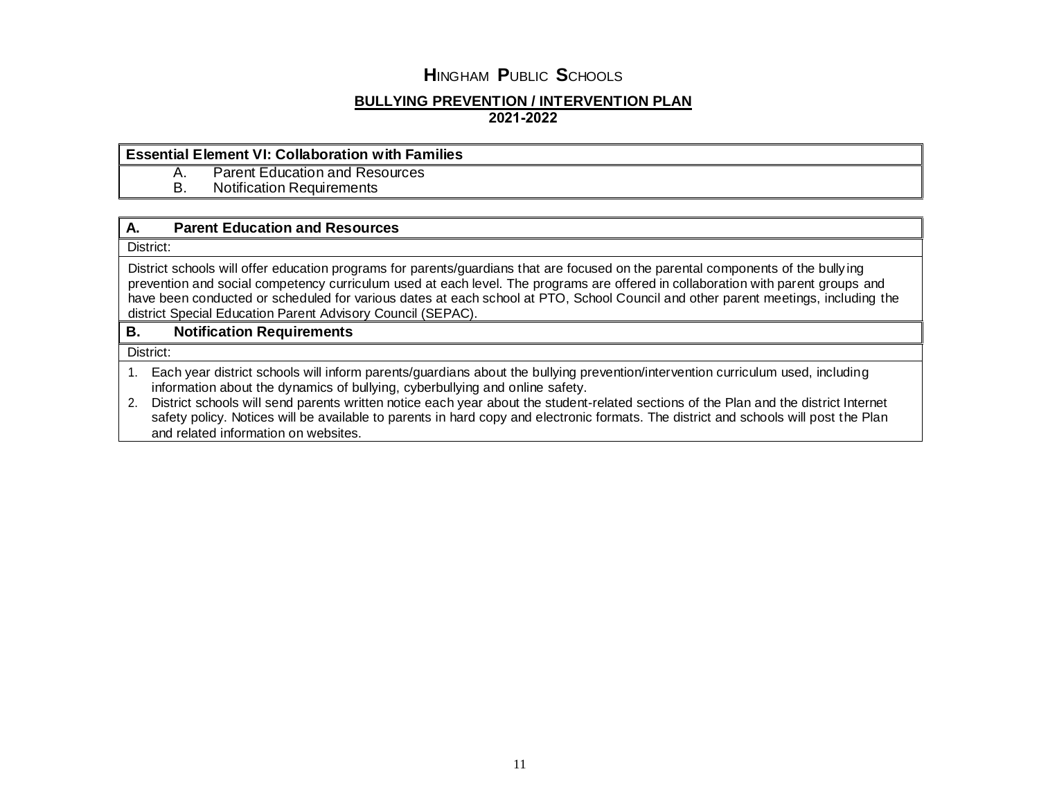#### **BULLYING PREVENTION / INTERVENTION PLAN 2021-2022**

### **Essential Element VI: Collaboration with Families**

A. Parent Education and Resources<br>B. Notification Requirements

**Notification Requirements** 

## **A. Parent Education and Resources**

District:

District schools will offer education programs for parents/guardians that are focused on the parental components of the bully ing prevention and social competency curriculum used at each level. The programs are offered in collaboration with parent groups and have been conducted or scheduled for various dates at each school at PTO, School Council and other parent meetings, including the district Special Education Parent Advisory Council (SEPAC).

## **B. Notification Requirements**

District:

1. Each year district schools will inform parents/guardians about the bullying prevention/intervention curriculum used, including information about the dynamics of bullying, cyberbullying and online safety.

2. District schools will send parents written notice each year about the student-related sections of the Plan and the district Internet safety policy. Notices will be available to parents in hard copy and electronic formats. The district and schools will post the Plan and related information on websites.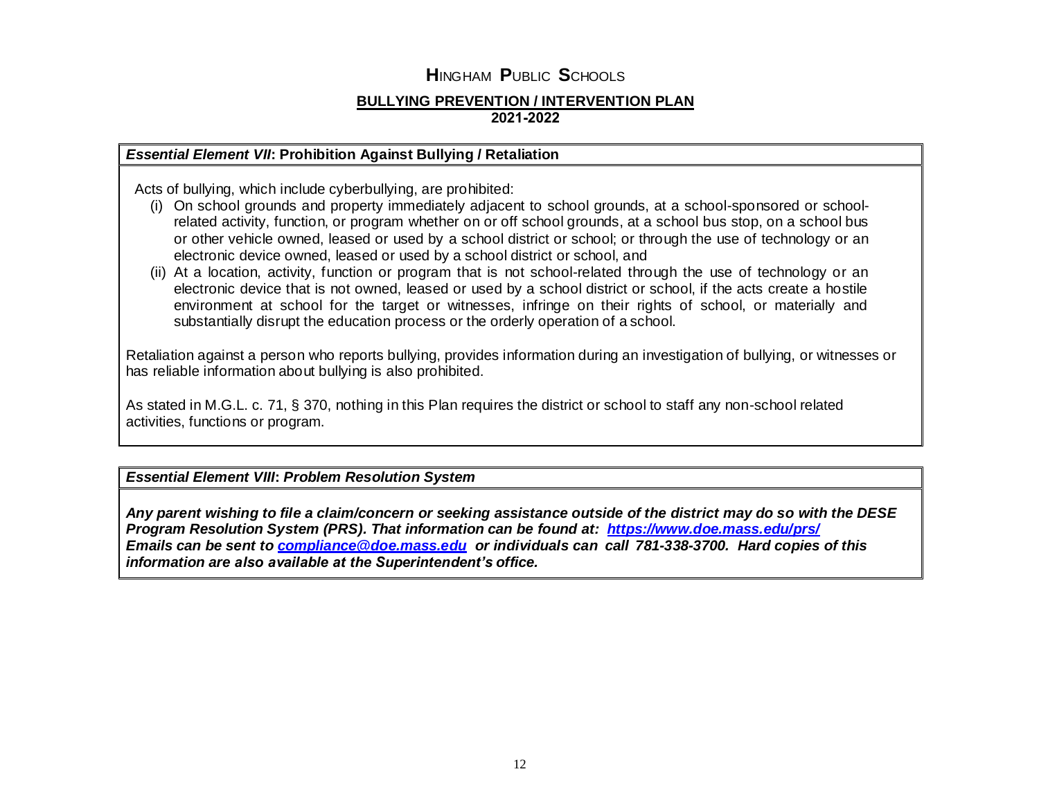## **BULLYING PREVENTION / INTERVENTION PLAN 2021-2022**

## *Essential Element VII***: Prohibition Against Bullying / Retaliation**

Acts of bullying, which include cyberbullying, are prohibited:

- (i) On school grounds and property immediately adjacent to school grounds, at a school-sponsored or schoolrelated activity, function, or program whether on or off school grounds, at a school bus stop, on a school bus or other vehicle owned, leased or used by a school district or school; or through the use of technology or an electronic device owned, leased or used by a school district or school, and
- (ii) At a location, activity, function or program that is not school-related through the use of technology or an electronic device that is not owned, leased or used by a school district or school, if the acts create a hostile environment at school for the target or witnesses, infringe on their rights of school, or materially and substantially disrupt the education process or the orderly operation of a school.

Retaliation against a person who reports bullying, provides information during an investigation of bullying, or witnesses or has reliable information about bullying is also prohibited.

As stated in M.G.L. c. 71, § 370, nothing in this Plan requires the district or school to staff any non-school related activities, functions or program.

*Essential Element VIII***:** *Problem Resolution System*

*Any parent wishing to file a claim/concern or seeking assistance outside of the district may do so with the DESE Program Resolution System (PRS). That information can be found at: <https://www.doe.mass.edu/prs/> Emails can be sent to [compliance@doe.mass.edu](mailto:compliance@doe.mass.edu) or individuals can call 781-338-3700. Hard copies of this information are also available at the Superintendent's office.*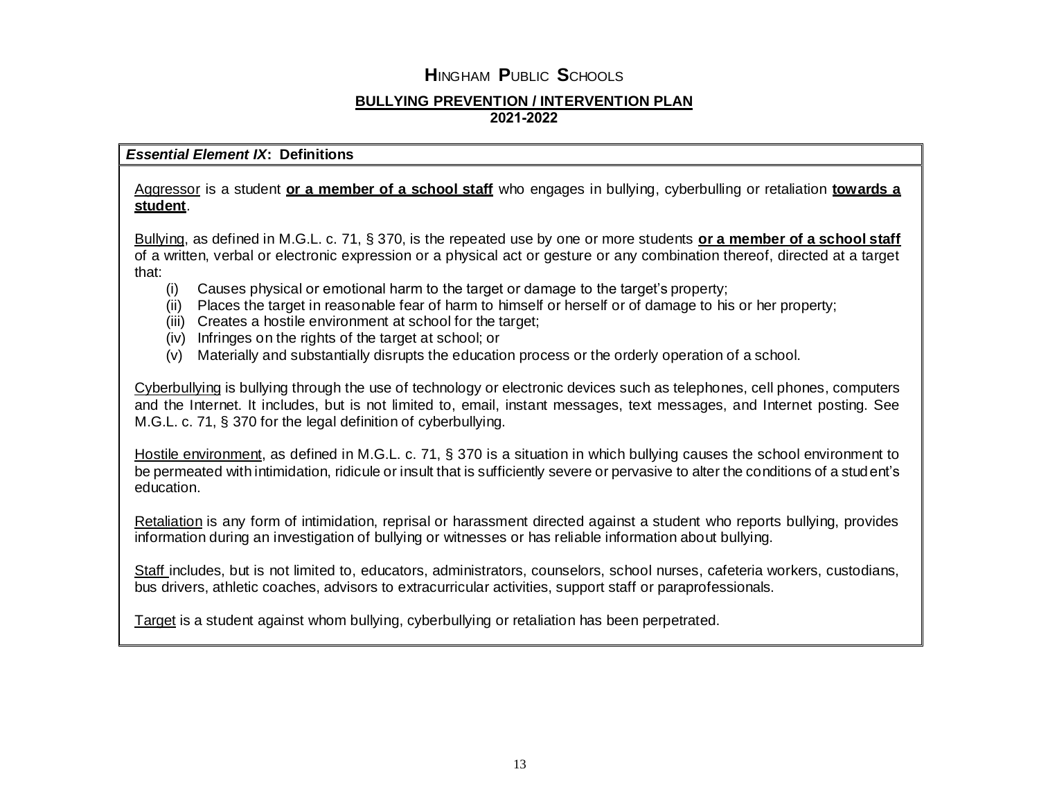### **BULLYING PREVENTION / INTERVENTION PLAN 2021-2022**

## *Essential Element IX***: Definitions**

## Aggressor is a student **or a member of a school staff** who engages in bullying, cyberbulling or retaliation **towards a student**.

Bullying, as defined in M.G.L. c. 71, § 370, is the repeated use by one or more students **or a member of a school staff** of a written, verbal or electronic expression or a physical act or gesture or any combination thereof, directed at a target that:

- (i) Causes physical or emotional harm to the target or damage to the target's property;
- (ii) Places the target in reasonable fear of harm to himself or herself or of damage to his or her property;
- (iii) Creates a hostile environment at school for the target;
- (iv) Infringes on the rights of the target at school; or
- (v) Materially and substantially disrupts the education process or the orderly operation of a school.

Cyberbullying is bullying through the use of technology or electronic devices such as telephones, cell phones, computers and the Internet. It includes, but is not limited to, email, instant messages, text messages, and Internet posting. See M.G.L. c. 71, § 370 for the legal definition of cyberbullying.

Hostile environment, as defined in M.G.L. c. 71, § 370 is a situation in which bullying causes the school environment to be permeated with intimidation, ridicule or insult that is sufficiently severe or pervasive to alter the conditions of a student's education.

Retaliation is any form of intimidation, reprisal or harassment directed against a student who reports bullying, provides information during an investigation of bullying or witnesses or has reliable information about bullying.

Staff includes, but is not limited to, educators, administrators, counselors, school nurses, cafeteria workers, custodians, bus drivers, athletic coaches, advisors to extracurricular activities, support staff or paraprofessionals.

Target is a student against whom bullying, cyberbullying or retaliation has been perpetrated.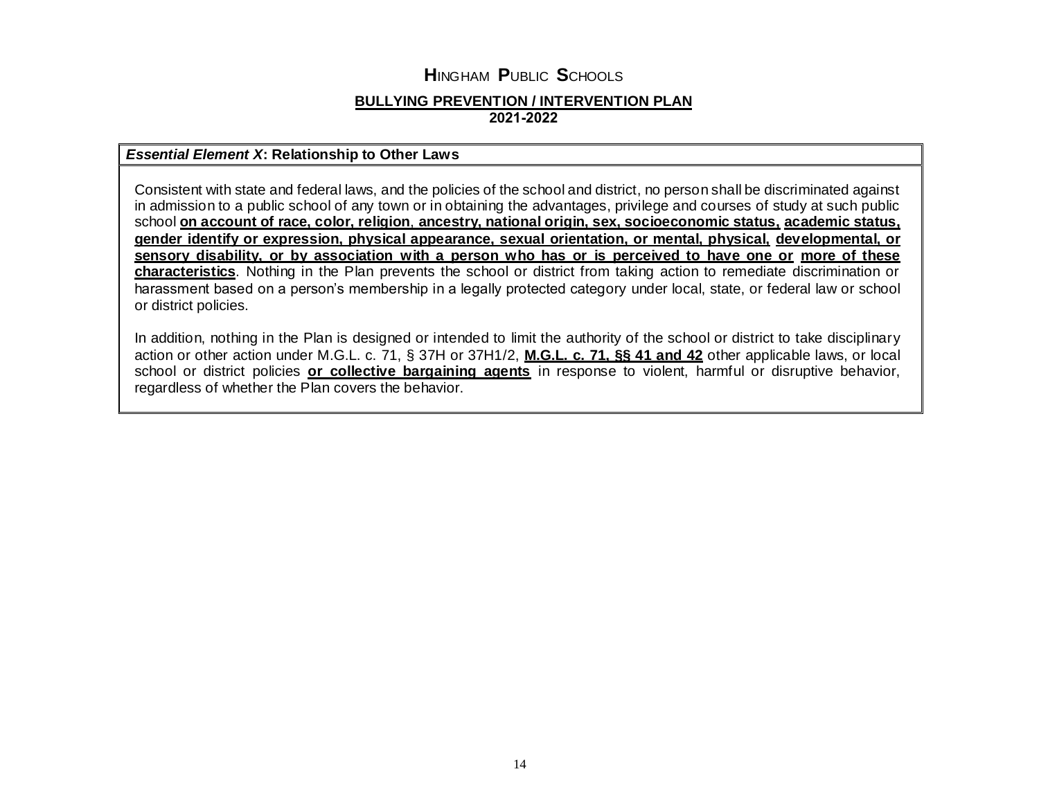### **BULLYING PREVENTION / INTERVENTION PLAN 2021-2022**

## *Essential Element X***: Relationship to Other Laws**

Consistent with state and federal laws, and the policies of the school and district, no person shall be discriminated against in admission to a public school of any town or in obtaining the advantages, privilege and courses of study at such public school **on account of race, color, religion**, **ancestry, national origin, sex, socioeconomic status, academic status, gender identify or expression, physical appearance, sexual orientation, or mental, physical, developmental, or sensory disability, or by association with a person who has or is perceived to have one or more of these characteristics**. Nothing in the Plan prevents the school or district from taking action to remediate discrimination or harassment based on a person's membership in a legally protected category under local, state, or federal law or school or district policies.

In addition, nothing in the Plan is designed or intended to limit the authority of the school or district to take disciplinary action or other action under M.G.L. c. 71, § 37H or 37H1/2, **M.G.L. c. 71, §§ 41 and 42** other applicable laws, or local school or district policies **or collective bargaining agents** in response to violent, harmful or disruptive behavior, regardless of whether the Plan covers the behavior.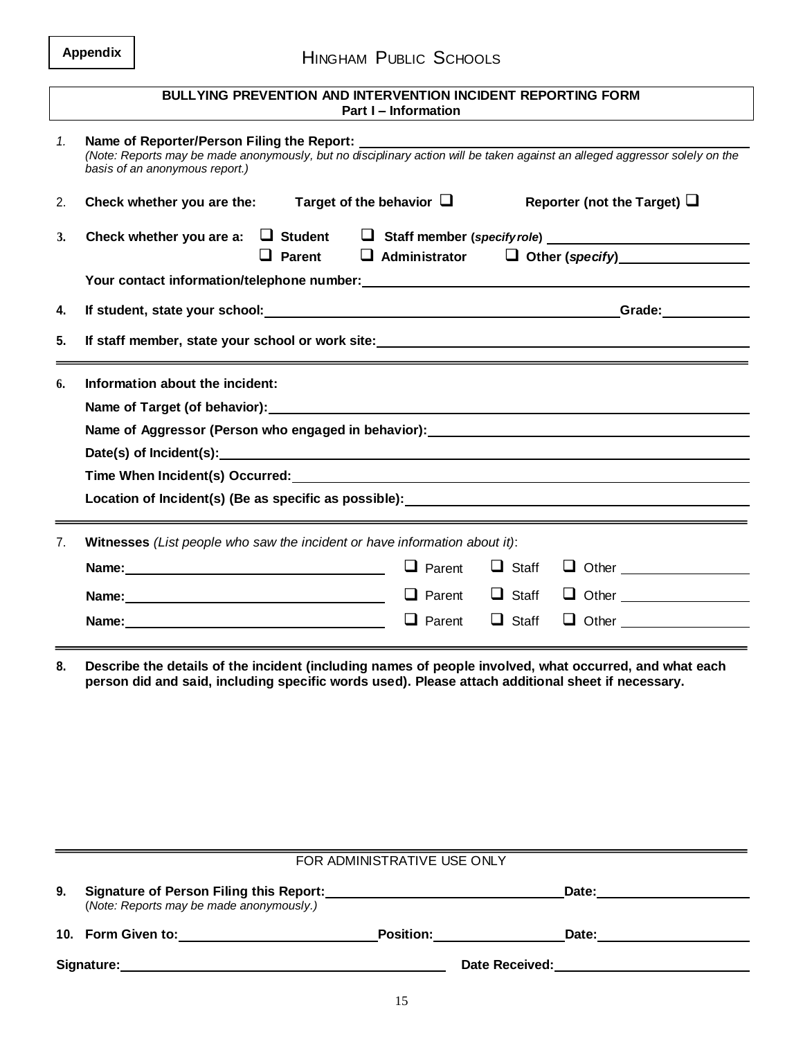| Appendix |
|----------|
|----------|

|                | <b>BULLYING PREVENTION AND INTERVENTION INCIDENT REPORTING FORM</b><br>Part I - Information                                                                                                                 |               |              |                                                                                                                                                                                                                                  |  |
|----------------|-------------------------------------------------------------------------------------------------------------------------------------------------------------------------------------------------------------|---------------|--------------|----------------------------------------------------------------------------------------------------------------------------------------------------------------------------------------------------------------------------------|--|
| $\mathbf{1}$ . | Name of Reporter/Person Filing the Report:<br>(Note: Reports may be made anonymously, but no disciplinary action will be taken against an alleged aggressor solely on the<br>basis of an anonymous report.) |               |              |                                                                                                                                                                                                                                  |  |
| 2.             | Check whether you are the:<br>Target of the behavior $\Box$                                                                                                                                                 |               |              | Reporter (not the Target) $\Box$                                                                                                                                                                                                 |  |
| 3.             |                                                                                                                                                                                                             |               |              | $\Box$ Parent $\Box$ Administrator $\Box$ Other (specify)                                                                                                                                                                        |  |
|                |                                                                                                                                                                                                             |               |              |                                                                                                                                                                                                                                  |  |
| 4.             |                                                                                                                                                                                                             |               |              | Grade: Carried Contract Contract Contract Contract Contract Contract Contract Contract Contract Contract Contr<br>Contract Contract Contract Contract Contract Contract Contract Contract Contract Contract Contract Contract Co |  |
| 5.             | <u> 1989 - Andrea Andrew Maria (h. 1989).</u>                                                                                                                                                               |               |              |                                                                                                                                                                                                                                  |  |
| 6.             | Information about the incident:                                                                                                                                                                             |               |              |                                                                                                                                                                                                                                  |  |
|                |                                                                                                                                                                                                             |               |              |                                                                                                                                                                                                                                  |  |
|                |                                                                                                                                                                                                             |               |              |                                                                                                                                                                                                                                  |  |
|                |                                                                                                                                                                                                             |               |              |                                                                                                                                                                                                                                  |  |
|                | Time When Incident(s) Occurred:<br>Time When Incident(s) Occurred:                                                                                                                                          |               |              |                                                                                                                                                                                                                                  |  |
|                | Location of Incident(s) (Be as specific as possible): ___________________________                                                                                                                           |               |              |                                                                                                                                                                                                                                  |  |
| 7.             | Witnesses (List people who saw the incident or have information about it):                                                                                                                                  |               |              |                                                                                                                                                                                                                                  |  |
|                |                                                                                                                                                                                                             | $\Box$ Parent | $\Box$ Staff |                                                                                                                                                                                                                                  |  |
|                | Name: Name:                                                                                                                                                                                                 | $\Box$ Parent | $\Box$ Staff |                                                                                                                                                                                                                                  |  |
|                |                                                                                                                                                                                                             | $\Box$ Parent | $\Box$ Staff |                                                                                                                                                                                                                                  |  |

**8. Describe the details of the incident (including names of people involved, what occurred, and what each person did and said, including specific words used). Please attach additional sheet if necessary.**

|    | FOR ADMINISTRATIVE USE ONLY                                                                |                  |                |       |  |
|----|--------------------------------------------------------------------------------------------|------------------|----------------|-------|--|
| 9. | <b>Signature of Person Filing this Report:</b><br>(Note: Reports may be made anonymously.) |                  |                | Date: |  |
|    |                                                                                            |                  |                |       |  |
|    | 10. Form Given to:                                                                         | <b>Position:</b> |                | Date: |  |
|    | Signature:                                                                                 |                  | Date Received: |       |  |